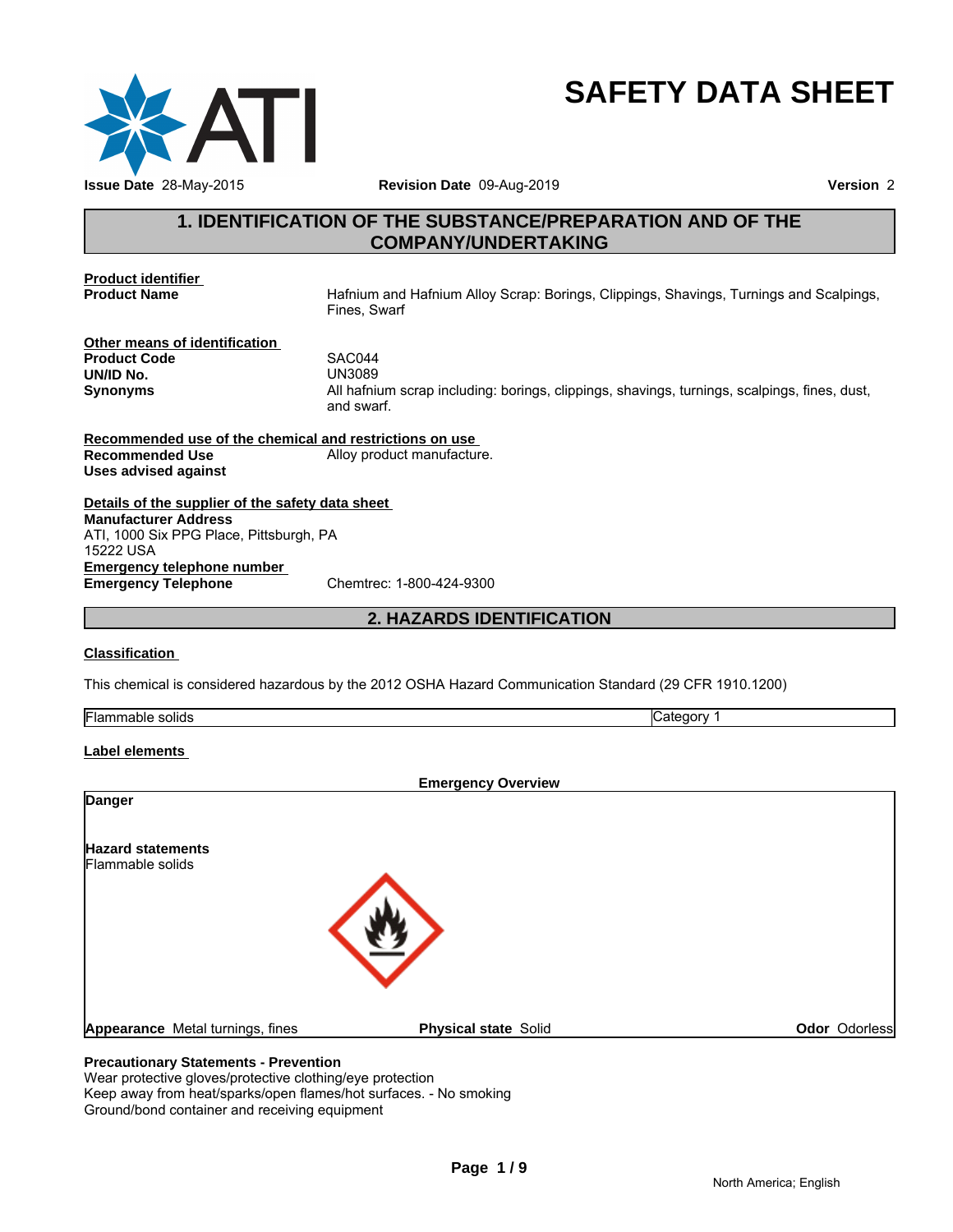

# **SAFETY DATA SHEET**

# **1. IDENTIFICATION OF THE SUBSTANCE/PREPARATION AND OF THE**<br> **1. IDENTIFICATION OF THE SUBSTANCE/PREPARATION AND OF THE**<br> **1. IDENTIFICATION OF THE SUBSTANCE/PREPARATION AND OF THE**<br> **1. IDENTIFICATION OF THE SUBSTANCE/PRE COMPANY/UNDERTAKING**

**Product identifier<br>Product Name** 

**Product Name** Hafnium and Hafnium Alloy Scrap: Borings, Clippings, Shavings, Turnings and Scalpings, Fines, Swarf

**Other means of identification Product Code** SAC044 **UN/ID No.** 

**Synonyms** All hafnium scrap including: borings, clippings, shavings, turnings, scalpings, fines, dust, and swarf. 14<br>
29<br>
2011<br>
Inium scrap including: borings, clippings, shavings, turnings, scalpings, fines, c<br>
2. **HAZARDS IDENTIFICATION<br>
2. <b>HAZARDS IDENTIFICATION**<br>
2012 OSHA Hazard Communication Standard (29 CFR 1910.1200)

**Recommended use of the chemical and restrictions on use Recommended Use** Alloy product manufacture. **Uses advised against**

**Details of the supplier of the safety data sheet Emergency telephone number Emergency Telephone** Chemtrec: 1-800-424-9300 **Manufacturer Address** ATI, 1000 Six PPG Place, Pittsburgh, PA 15222 USA

### **Classification**

This chemical is considered hazardous by the 2012 OSHA Hazard Communication Standard (29 CFR 1910.1200)

| <br>solids<br>,,, | <br>4 I F<br> |
|-------------------|---------------|

### **Label elements**

| <b>Physical state Solid</b> | Odor Odorless             |
|-----------------------------|---------------------------|
|                             | <b>Emergency Overview</b> |

### **Precautionary Statements - Prevention**

Wear protective gloves/protective clothing/eye protection Keep away from heat/sparks/open flames/hot surfaces. - No smoking Ground/bond container and receiving equipment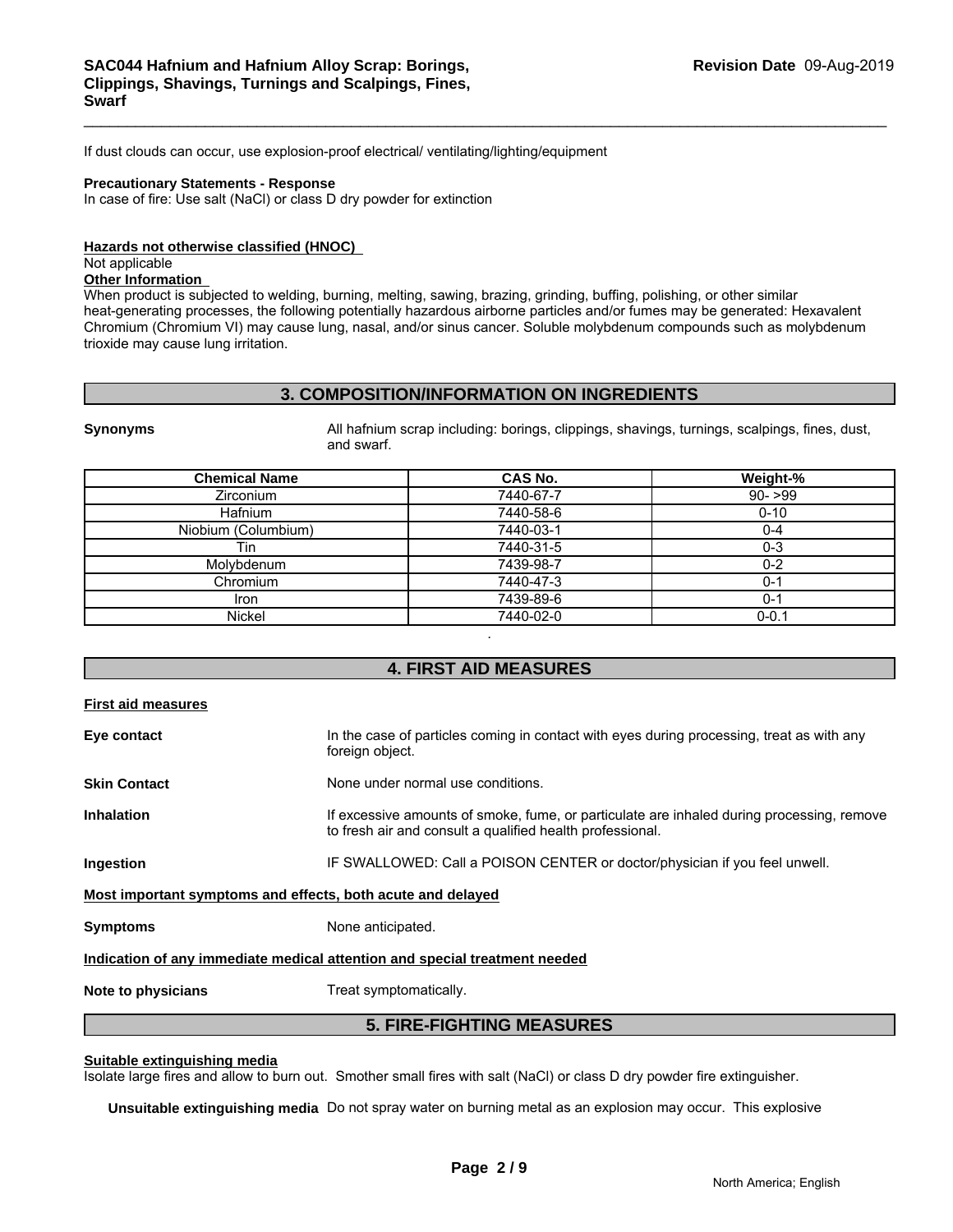If dust clouds can occur, use explosion-proof electrical/ ventilating/lighting/equipment

### **Precautionary Statements - Response**

In case of fire: Use salt (NaCl) or class D dry powder for extinction

### **Hazards not otherwise classified (HNOC)**

### Not applicable

**Other Information** 

When product is subjected to welding, burning, melting, sawing, brazing, grinding, buffing, polishing, or other similar heat-generating processes, the following potentially hazardous airborne particles and/or fumes may be generated: Hexavalent Chromium (Chromium VI) may cause lung, nasal, and/or sinus cancer. Soluble molybdenum compounds such as molybdenum trioxide may cause lung irritation. plosion-proof electrical/ ventilating/lighting/equipment<br> **3. COMPOSITION/INFORMATION ON INGREDIENTS**<br> **3. COMPOSITION/INFORMATION ON INGREDIENTS**<br>
All hafnium scrap including: borings, clippings, shavings, turnings, scalp

| Synonyms |  |
|----------|--|
|          |  |

| <b>Synonyms</b><br>and swarf. | All hafnium scrap including: borings, clippings, shavings, turnings, scalpings, fines, dust, |           |
|-------------------------------|----------------------------------------------------------------------------------------------|-----------|
| <b>Chemical Name</b>          | CAS No.                                                                                      | Weight-%  |
| <b>Zirconium</b>              | 7440-67-7                                                                                    | $90 - 99$ |
| Hafnium                       | 7440-58-6                                                                                    | $0 - 10$  |
| Niobium (Columbium)           | 7440-03-1                                                                                    | $0 - 4$   |
| Tin                           | 7440-31-5                                                                                    | $0 - 3$   |
| Molybdenum                    | 7439-98-7                                                                                    | $0 - 2$   |
| Chromium                      | 7440-47-3                                                                                    | $0 - 1$   |
| <b>Iron</b>                   | 7439-89-6                                                                                    | $0 - 1$   |
| Nickel                        | 7440-02-0                                                                                    | $0 - 0.1$ |
| First aid measures            | ٠<br><b>4. FIRST AID MEASURES</b>                                                            |           |

| <b>First aid measures</b>                                   |                                                                                                                                                        |
|-------------------------------------------------------------|--------------------------------------------------------------------------------------------------------------------------------------------------------|
| Eye contact                                                 | In the case of particles coming in contact with eyes during processing, treat as with any<br>foreign object.                                           |
| <b>Skin Contact</b>                                         | None under normal use conditions.                                                                                                                      |
| <b>Inhalation</b>                                           | If excessive amounts of smoke, fume, or particulate are inhaled during processing, remove<br>to fresh air and consult a qualified health professional. |
| Ingestion                                                   | IF SWALLOWED: Call a POISON CENTER or doctor/physician if you feel unwell.                                                                             |
| Most important symptoms and effects, both acute and delayed |                                                                                                                                                        |
| <b>Symptoms</b>                                             | None anticipated.                                                                                                                                      |
|                                                             | Indication of any immediate medical attention and special treatment needed                                                                             |
| Note to physicians                                          | Treat symptomatically.                                                                                                                                 |
|                                                             | <b>5. FIRE-FIGHTING MEASURES</b>                                                                                                                       |
| Suitable extinguishing media                                | Isolate large fires and allow to burn out. Smother small fires with salt (NaCl) or class D dry powder fire extinguisher.                               |

### **Suitable extinguishing media**

**Unsuitable extinguishing media** Do not spray water on burning metal as an explosion may occur. This explosive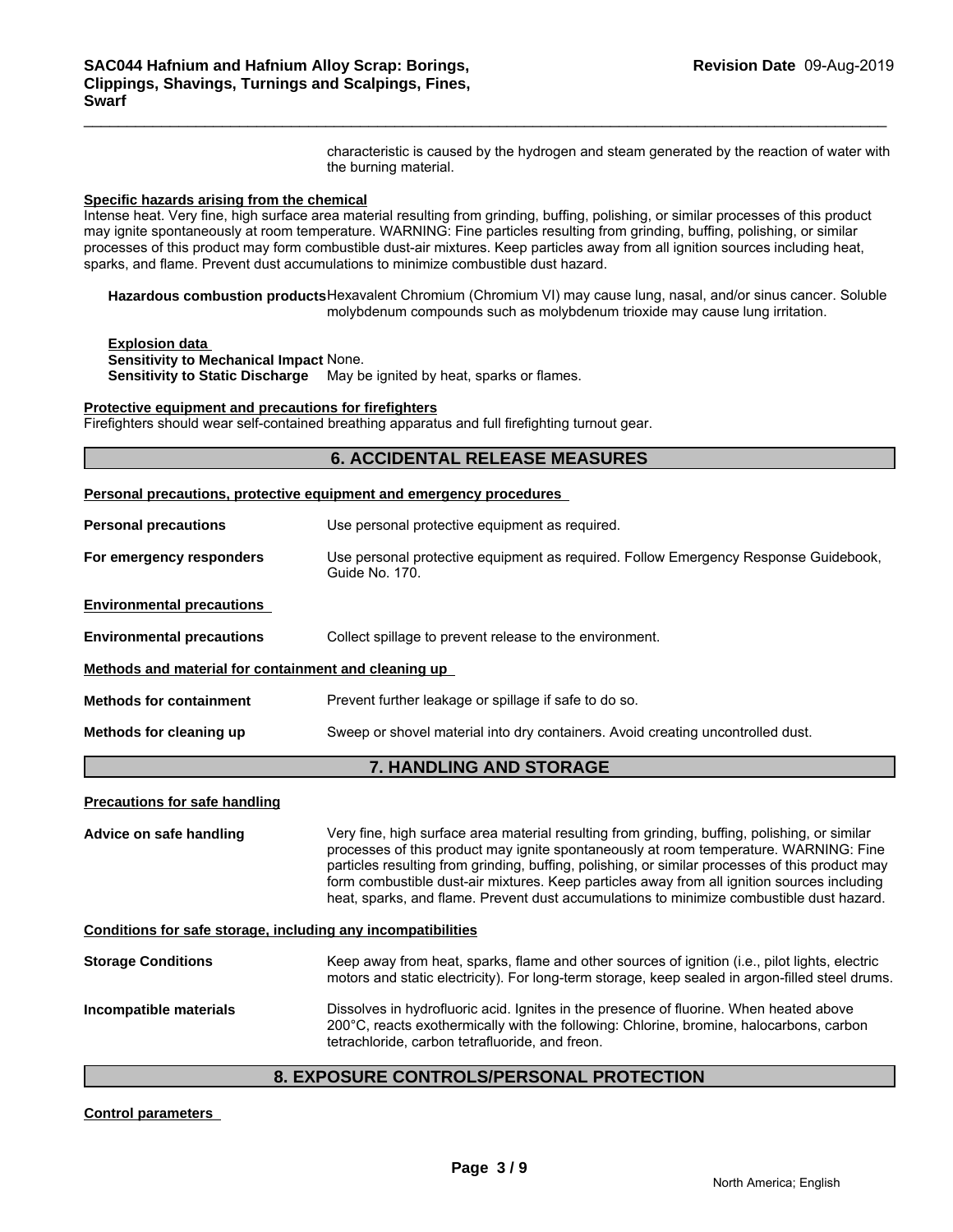characteristic is caused by the hydrogen and steam generated by the reaction of water with the burning material.

### **Specific hazards arising from the chemical**

### **Protective equipment and precautions for firefighters**

| Specific hazards arising from the chemical                      | Intense heat. Very fine, high surface area material resulting from grinding, buffing, polishing, or similar processes of this product<br>may ignite spontaneously at room temperature. WARNING: Fine particles resulting from grinding, buffing, polishing, or similar<br>processes of this product may form combustible dust-air mixtures. Keep particles away from all ignition sources including heat,<br>sparks, and flame. Prevent dust accumulations to minimize combustible dust hazard. |  |  |  |  |
|-----------------------------------------------------------------|-------------------------------------------------------------------------------------------------------------------------------------------------------------------------------------------------------------------------------------------------------------------------------------------------------------------------------------------------------------------------------------------------------------------------------------------------------------------------------------------------|--|--|--|--|
|                                                                 | Hazardous combustion products Hexavalent Chromium (Chromium VI) may cause lung, nasal, and/or sinus cancer. Soluble<br>molybdenum compounds such as molybdenum trioxide may cause lung irritation.                                                                                                                                                                                                                                                                                              |  |  |  |  |
| <b>Explosion data</b><br>Sensitivity to Mechanical Impact None. | Sensitivity to Static Discharge May be ignited by heat, sparks or flames.                                                                                                                                                                                                                                                                                                                                                                                                                       |  |  |  |  |
| Protective equipment and precautions for firefighters           | Firefighters should wear self-contained breathing apparatus and full firefighting turnout gear.                                                                                                                                                                                                                                                                                                                                                                                                 |  |  |  |  |
|                                                                 | <b>6. ACCIDENTAL RELEASE MEASURES</b>                                                                                                                                                                                                                                                                                                                                                                                                                                                           |  |  |  |  |
|                                                                 | Personal precautions, protective equipment and emergency procedures                                                                                                                                                                                                                                                                                                                                                                                                                             |  |  |  |  |
| <b>Personal precautions</b>                                     | Use personal protective equipment as required.                                                                                                                                                                                                                                                                                                                                                                                                                                                  |  |  |  |  |
| For emergency responders                                        | Use personal protective equipment as required. Follow Emergency Response Guidebook,<br>Guide No. 170.                                                                                                                                                                                                                                                                                                                                                                                           |  |  |  |  |
| <b>Environmental precautions</b>                                |                                                                                                                                                                                                                                                                                                                                                                                                                                                                                                 |  |  |  |  |
| <b>Environmental precautions</b>                                | Collect spillage to prevent release to the environment.                                                                                                                                                                                                                                                                                                                                                                                                                                         |  |  |  |  |
| Methods and material for containment and cleaning up            |                                                                                                                                                                                                                                                                                                                                                                                                                                                                                                 |  |  |  |  |
| <b>Methods for containment</b>                                  | Prevent further leakage or spillage if safe to do so.                                                                                                                                                                                                                                                                                                                                                                                                                                           |  |  |  |  |
| Methods for cleaning up                                         | Sweep or shovel material into dry containers. Avoid creating uncontrolled dust.                                                                                                                                                                                                                                                                                                                                                                                                                 |  |  |  |  |
|                                                                 | 7. HANDLING AND STORAGE                                                                                                                                                                                                                                                                                                                                                                                                                                                                         |  |  |  |  |
| <b>Precautions for safe handling</b>                            |                                                                                                                                                                                                                                                                                                                                                                                                                                                                                                 |  |  |  |  |
| Advice on safe handling                                         | Very fine, high surface area material resulting from grinding, buffing, polishing, or similar<br>processes of this product may ignite spontaneously at room temperature. WARNING: Fine<br>particles resulting from grinding, buffing, polishing, or similar processes of this product may<br>form combustible dust-air mixtures. Keep particles away from all ignition sources including<br>heat, sparks, and flame. Prevent dust accumulations to minimize combustible dust hazard.            |  |  |  |  |
| Conditions for safe storage, including any incompatibilities    |                                                                                                                                                                                                                                                                                                                                                                                                                                                                                                 |  |  |  |  |
| <b>Storage Conditions</b>                                       | Keep away from heat, sparks, flame and other sources of ignition (i.e., pilot lights, electric<br>motors and static electricity). For long-term storage, keep sealed in argon-filled steel drums.                                                                                                                                                                                                                                                                                               |  |  |  |  |
| Incompatible materials                                          | Dissolves in hydrofluoric acid. Ignites in the presence of fluorine. When heated above<br>200°C, reacts exothermically with the following: Chlorine, bromine, halocarbons, carbon<br>tetrachloride, carbon tetrafluoride, and freon.                                                                                                                                                                                                                                                            |  |  |  |  |
|                                                                 | 8. EXPOSURE CONTROLS/PERSONAL PROTECTION                                                                                                                                                                                                                                                                                                                                                                                                                                                        |  |  |  |  |
| <b>Control parameters</b>                                       |                                                                                                                                                                                                                                                                                                                                                                                                                                                                                                 |  |  |  |  |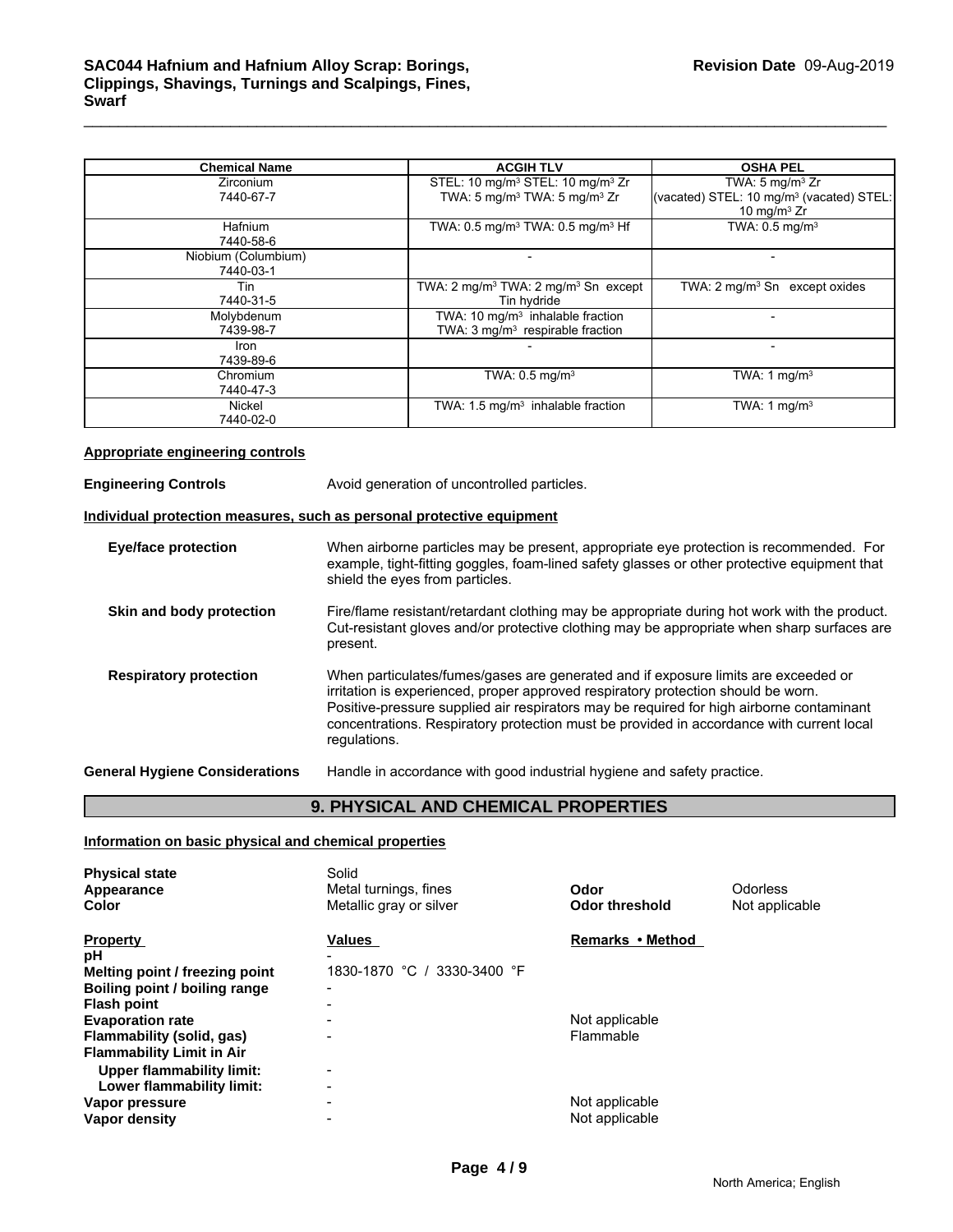| <b>Chemical Name</b>             | <b>ACGIH TLV</b>                                                                   | <b>OSHA PEL</b>                                                        |
|----------------------------------|------------------------------------------------------------------------------------|------------------------------------------------------------------------|
| <b>Zirconium</b>                 | STEL: 10 mg/m <sup>3</sup> STEL: 10 mg/m <sup>3</sup> Zr                           | TWA: $5 \text{ mg/m}^3$ Zr                                             |
| 7440-67-7                        | TWA: 5 mg/m <sup>3</sup> TWA: 5 mg/m <sup>3</sup> Zr                               | (vacated) STEL: 10 mg/m <sup>3</sup> (vacated) STEL:<br>10 mg/m $3$ Zr |
| <b>Hafnium</b><br>7440-58-6      | TWA: $0.5$ mg/m <sup>3</sup> TWA: $0.5$ mg/m <sup>3</sup> Hf                       | TWA: $0.5$ mg/m <sup>3</sup>                                           |
| Niobium (Columbium)<br>7440-03-1 |                                                                                    |                                                                        |
| Tin                              | TWA: $2 \text{ mg/m}^3$ TWA: $2 \text{ mg/m}^3$ Sn except                          | TWA: $2 \text{ mg/m}^3$ Sn<br>except oxides                            |
| 7440-31-5                        | Tin hydride                                                                        |                                                                        |
| Molybdenum<br>7439-98-7          | TWA: 10 $mq/m3$ inhalable fraction<br>TWA: 3 mg/m <sup>3</sup> respirable fraction |                                                                        |
| <b>Iron</b><br>7439-89-6         |                                                                                    |                                                                        |
| Chromium<br>7440-47-3            | TWA: $0.5$ mg/m <sup>3</sup>                                                       | TWA: 1 $mq/m3$                                                         |
| Nickel<br>7440-02-0              | TWA: $1.5 \text{ mg/m}^3$ inhalable fraction                                       | TWA: $1 \text{ mg/m}^3$                                                |

### **Appropriate engineering controls**

**Engineering Controls Avoid generation of uncontrolled particles. Individual protection measures, such as personal protective equipment Eye/face protection** When airborne particles may be present, appropriate eye protection is recommended. For example, tight-fitting goggles, foam-lined safety glasses or other protective equipment that shield the eyes from particles. **Skin and body protection** Fire/flame resistant/retardant clothing may be appropriate during hot work with the product. Cut-resistant gloves and/or protective clothing may be appropriate when sharp surfaces are present. **Respiratory protection** When particulates/fumes/gases are generated and if exposure limits are exceeded or irritation is experienced, proper approved respiratory protection should be worn. Positive-pressure supplied air respirators may be required for high airborne contaminant concentrations. Respiratory protection must be provided in accordance with current local regulations. **General Hygiene Considerations** Handle in accordance with good industrial hygiene and safety practice.

### **9. PHYSICAL AND CHEMICAL PROPERTIES**

### **Information on basic physical and chemical properties**

| <b>Physical state</b><br>Appearance | Solid<br>Metal turnings, fines | Odor                  | <b>Odorless</b> |
|-------------------------------------|--------------------------------|-----------------------|-----------------|
| Color                               | Metallic gray or silver        | <b>Odor threshold</b> | Not applicable  |
| <b>Property</b>                     | Values                         | Remarks • Method      |                 |
| рH                                  |                                |                       |                 |
| Melting point / freezing point      | 1830-1870 °C<br>3330-3400 °F   |                       |                 |
| Boiling point / boiling range       | $\overline{\phantom{0}}$       |                       |                 |
| <b>Flash point</b>                  |                                |                       |                 |
| <b>Evaporation rate</b>             |                                | Not applicable        |                 |
| Flammability (solid, gas)           |                                | Flammable             |                 |
| <b>Flammability Limit in Air</b>    |                                |                       |                 |
| Upper flammability limit:           | $\blacksquare$                 |                       |                 |
| Lower flammability limit:           | $\blacksquare$                 |                       |                 |
| Vapor pressure                      |                                | Not applicable        |                 |
| Vapor density                       |                                | Not applicable        |                 |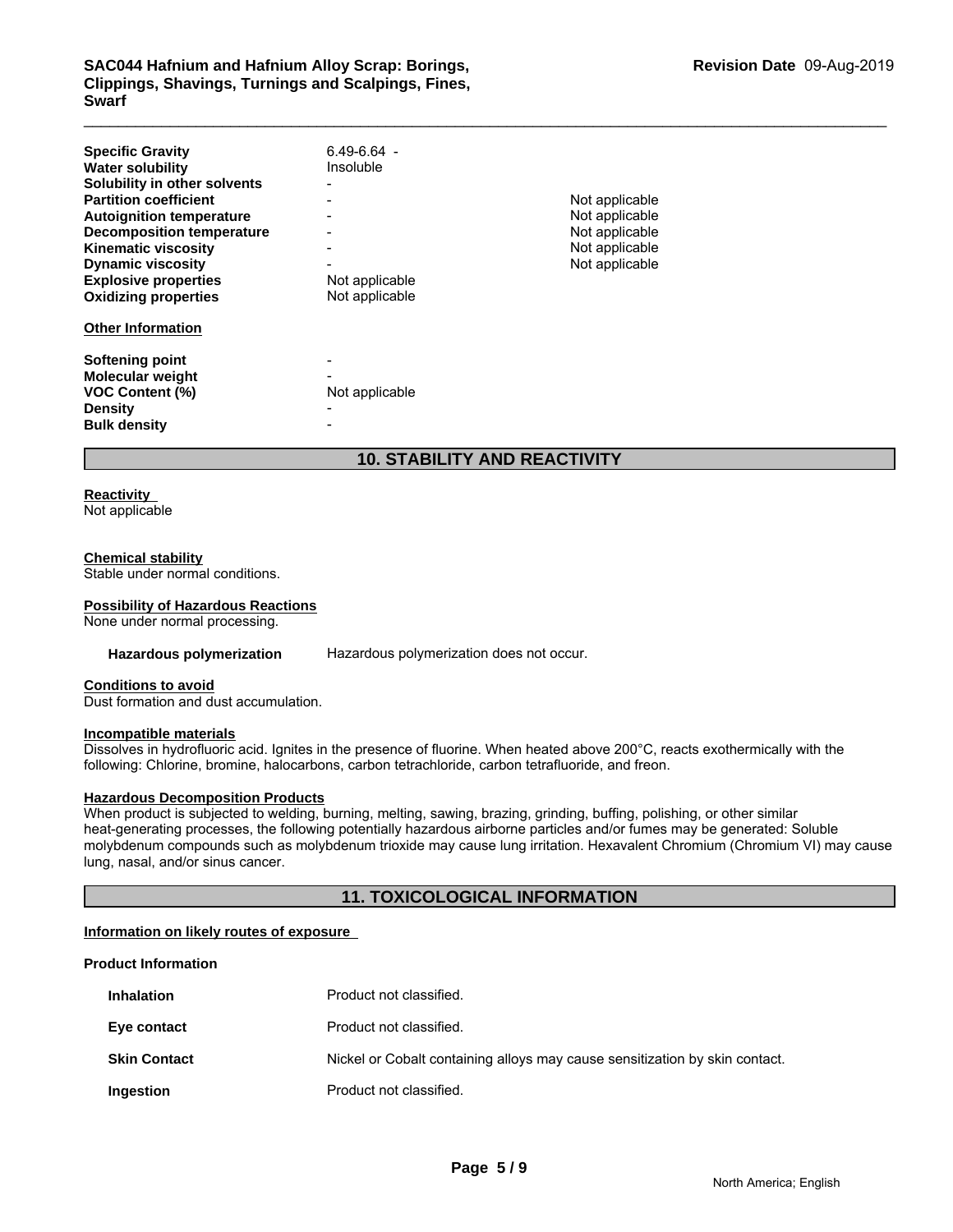# \_\_\_\_\_\_\_\_\_\_\_\_\_\_\_\_\_\_\_\_\_\_\_\_\_\_\_\_\_\_\_\_\_\_\_\_\_\_\_\_\_\_\_\_\_\_\_\_\_\_\_\_\_\_\_\_\_\_\_\_\_\_\_\_\_\_\_\_\_\_\_\_\_\_\_\_\_\_\_\_\_\_\_\_\_\_\_\_\_\_\_\_\_ **SAC044 Hafnium and Hafnium Alloy Scrap: Borings, Clippings, Shavings, Turnings and Scalpings, Fines, Swarf**

| <b>Specific Gravity</b><br><b>Water solubility</b><br>Solubility in other solvents<br><b>Partition coefficient</b><br><b>Autoignition temperature</b><br><b>Decomposition temperature</b><br><b>Kinematic viscosity</b><br><b>Dynamic viscosity</b><br><b>Explosive properties</b><br><b>Oxidizing properties</b><br><b>Other Information</b> | $6.49 - 6.64 -$<br>Insoluble<br>Not applicable<br>Not applicable | Not applicable<br>Not applicable<br>Not applicable<br>Not applicable<br>Not applicable |
|-----------------------------------------------------------------------------------------------------------------------------------------------------------------------------------------------------------------------------------------------------------------------------------------------------------------------------------------------|------------------------------------------------------------------|----------------------------------------------------------------------------------------|
| <b>Softening point</b><br>Molecular weight<br><b>VOC Content (%)</b><br><b>Density</b><br><b>Bulk density</b>                                                                                                                                                                                                                                 | Not applicable                                                   |                                                                                        |

## **10. STABILITY AND REACTIVITY**

### **Reactivity**

Not applicable

### **Chemical stability**

Stable under normal conditions.

### **Possibility of Hazardous Reactions**

None under normal processing.

**Hazardous polymerization** Hazardous polymerization does not occur.

## **Conditions to avoid**

Dust formation and dust accumulation.

### **Incompatible materials**

Dissolves in hydrofluoric acid. Ignites in the presence of fluorine. When heated above 200°C, reacts exothermically with the following: Chlorine, bromine, halocarbons, carbon tetrachloride, carbon tetrafluoride, and freon.

### **Hazardous Decomposition Products**

When product is subjected to welding, burning, melting, sawing, brazing, grinding, buffing, polishing, or other similar heat-generating processes, the following potentially hazardous airborne particles and/or fumes may be generated: Soluble molybdenum compounds such as molybdenum trioxide may cause lung irritation. Hexavalent Chromium (Chromium VI) may cause lung, nasal, and/or sinus cancer.

### **11. TOXICOLOGICAL INFORMATION**

### **Information on likely routes of exposure**

### **Product Information**

| <b>Inhalation</b>   | Product not classified.                                                     |
|---------------------|-----------------------------------------------------------------------------|
| Eye contact         | Product not classified.                                                     |
| <b>Skin Contact</b> | Nickel or Cobalt containing alloys may cause sensitization by skin contact. |
| Ingestion           | Product not classified.                                                     |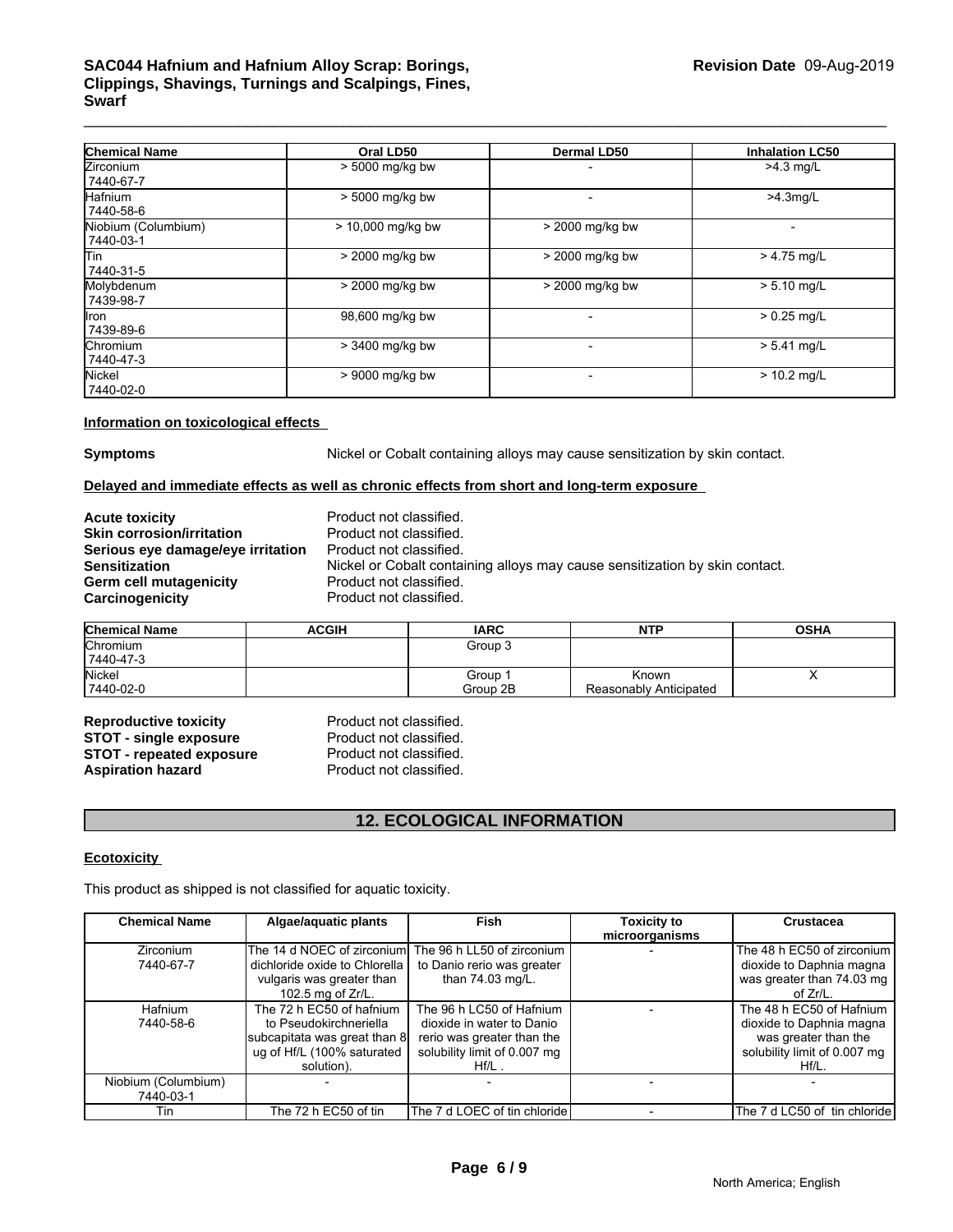# \_\_\_\_\_\_\_\_\_\_\_\_\_\_\_\_\_\_\_\_\_\_\_\_\_\_\_\_\_\_\_\_\_\_\_\_\_\_\_\_\_\_\_\_\_\_\_\_\_\_\_\_\_\_\_\_\_\_\_\_\_\_\_\_\_\_\_\_\_\_\_\_\_\_\_\_\_\_\_\_\_\_\_\_\_\_\_\_\_\_\_\_\_ **SAC044 Hafnium and Hafnium Alloy Scrap: Borings, Clippings, Shavings, Turnings and Scalpings, Fines, Swarf**

| <b>Chemical Name</b>             | Oral LD50         | <b>Dermal LD50</b> | <b>Inhalation LC50</b> |
|----------------------------------|-------------------|--------------------|------------------------|
| <b>Zirconium</b><br>7440-67-7    | $> 5000$ mg/kg bw |                    | $>4.3$ mg/L            |
| Hafnium<br>7440-58-6             | > 5000 mg/kg bw   |                    | $>4.3$ mg/L            |
| Niobium (Columbium)<br>7440-03-1 | > 10,000 mg/kg bw | > 2000 mg/kg bw    |                        |
| lTin<br>7440-31-5                | > 2000 mg/kg bw   | > 2000 mg/kg bw    | $> 4.75$ mg/L          |
| Molybdenum<br>7439-98-7          | > 2000 mg/kg bw   | > 2000 mg/kg bw    | $> 5.10$ mg/L          |
| llron.<br>7439-89-6              | 98,600 mg/kg bw   |                    | $> 0.25$ mg/L          |
| <b>Chromium</b><br>7440-47-3     | > 3400 mg/kg bw   |                    | $> 5.41$ mg/L          |
| Nickel<br>7440-02-0              | > 9000 mg/kg bw   |                    | $> 10.2$ mg/L          |

**Information on toxicological effects** 

**Symptoms** Nickel or Cobalt containing alloys may cause sensitization by skin contact.

### **Delayed and immediate effects as well as chronic effects from short and long-term exposure**

| <b>Acute toxicity</b>             | Product not  |
|-----------------------------------|--------------|
| <b>Skin corrosion/irritation</b>  | Product not  |
| Serious eye damage/eye irritation | Product not  |
| <b>Sensitization</b>              | Nickel or Co |
| Germ cell mutagenicity            | Product not  |
| Carcinogenicity                   | Product not  |

classified. classified. classified. balt containing alloys may cause sensitization by skin contact. classified. classified.

| <b>Chemical Name</b> | ACGIH | <b>IARC</b> | <b>NTP</b>             | <b>OSHA</b> |
|----------------------|-------|-------------|------------------------|-------------|
| Chromium             |       | Group 3     |                        |             |
| 7440-47-3            |       |             |                        |             |
| Nickel               |       | Group       | Known                  |             |
| 7440-02-0            |       | Group 2B    | Reasonably Anticipated |             |

**Reproductive toxicity example 3 Reproduct not classified.**<br> **STOT - single exposure** Product not classified. **STOT - single exposure** Product not classified.<br>**STOT - repeated exposure** Product not classified. **STOT - repeated exposure** Product not classified.<br> **Aspiration hazard** Product not classified. **Aspiration hazard** 

## **12. ECOLOGICAL INFORMATION**

### **Ecotoxicity**

| <b>STOT - single exposure</b><br><b>STOT - repeated exposure</b><br><b>Aspiration hazard</b> | Product not classified.<br>Product not classified.<br>Product not classified.                                                  |                                                                                                                                 |                                      |                                                                                                                          |
|----------------------------------------------------------------------------------------------|--------------------------------------------------------------------------------------------------------------------------------|---------------------------------------------------------------------------------------------------------------------------------|--------------------------------------|--------------------------------------------------------------------------------------------------------------------------|
|                                                                                              |                                                                                                                                | <b>12. ECOLOGICAL INFORMATION</b>                                                                                               |                                      |                                                                                                                          |
| <b>Ecotoxicity</b>                                                                           |                                                                                                                                |                                                                                                                                 |                                      |                                                                                                                          |
|                                                                                              | This product as shipped is not classified for aquatic toxicity.                                                                |                                                                                                                                 |                                      |                                                                                                                          |
| <b>Chemical Name</b>                                                                         | Algae/aquatic plants                                                                                                           | <b>Fish</b>                                                                                                                     | <b>Toxicity to</b><br>microorganisms | <b>Crustacea</b>                                                                                                         |
| Zirconium<br>7440-67-7                                                                       | The 14 d NOEC of zirconium<br>dichloride oxide to Chlorella<br>vulgaris was greater than<br>102.5 mg of Zr/L.                  | The 96 h LL50 of zirconium<br>to Danio rerio was greater<br>than 74.03 mg/L.                                                    |                                      | The 48 h EC50 of zirconium<br>dioxide to Daphnia magna<br>was greater than 74.03 mg<br>of $Zr/L$ .                       |
| Hafnium<br>7440-58-6                                                                         | The 72 h EC50 of hafnium<br>to Pseudokirchneriella<br>subcapitata was great than 8<br>ug of Hf/L (100% saturated<br>solution). | The 96 h LC50 of Hafnium<br>dioxide in water to Danio<br>rerio was greater than the<br>solubility limit of 0.007 mg<br>$Hf/L$ . |                                      | The 48 h EC50 of Hafnium<br>dioxide to Daphnia magna<br>was greater than the<br>solubility limit of 0.007 mg<br>$Hf/L$ . |
| Niobium (Columbium)<br>7440-03-1                                                             |                                                                                                                                |                                                                                                                                 |                                      |                                                                                                                          |
| Tin                                                                                          | The 72 h EC50 of tin                                                                                                           | The 7 d LOEC of tin chloride                                                                                                    |                                      | The 7 d LC50 of tin chloride                                                                                             |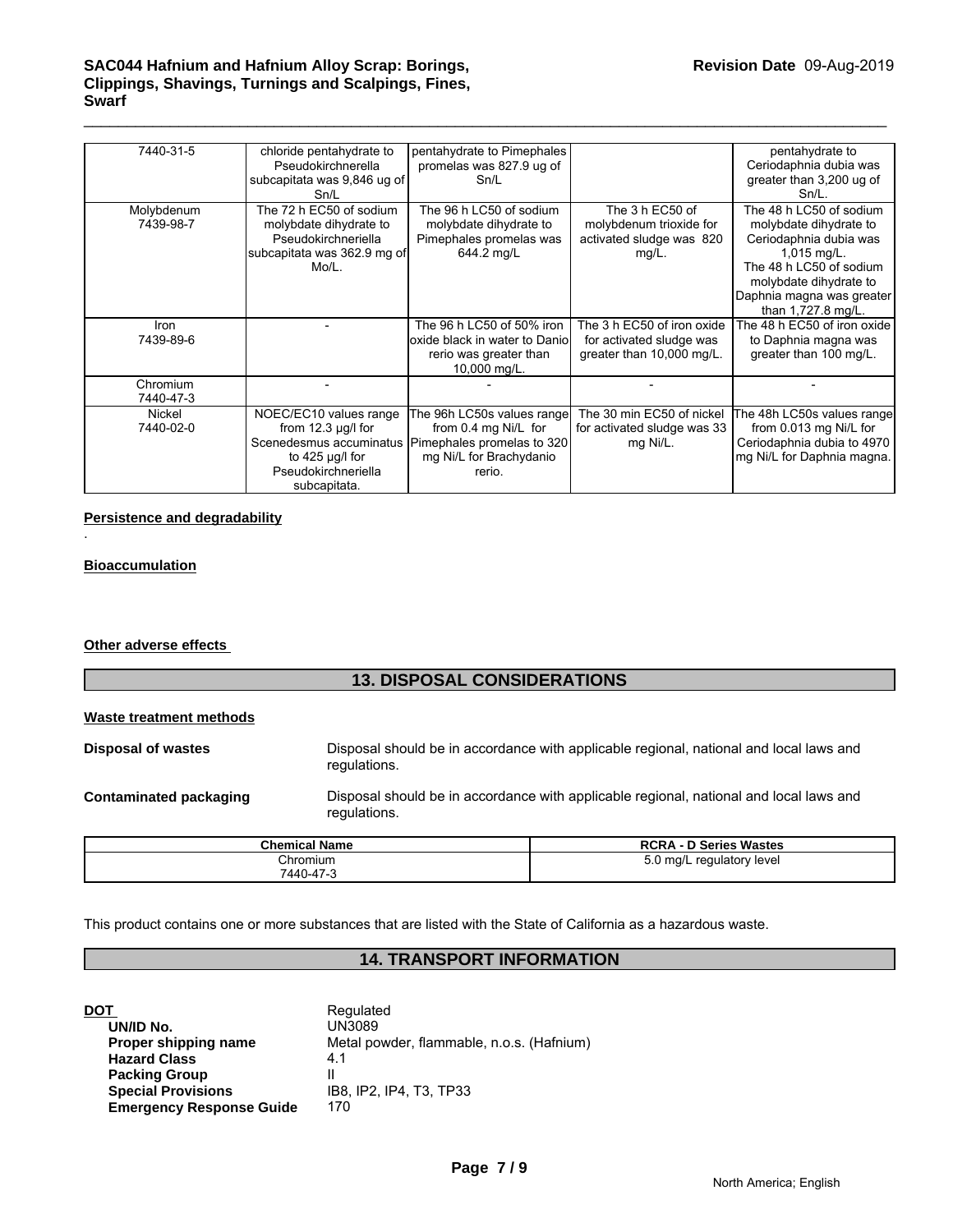# \_\_\_\_\_\_\_\_\_\_\_\_\_\_\_\_\_\_\_\_\_\_\_\_\_\_\_\_\_\_\_\_\_\_\_\_\_\_\_\_\_\_\_\_\_\_\_\_\_\_\_\_\_\_\_\_\_\_\_\_\_\_\_\_\_\_\_\_\_\_\_\_\_\_\_\_\_\_\_\_\_\_\_\_\_\_\_\_\_\_\_\_\_ **SAC044 Hafnium and Hafnium Alloy Scrap: Borings, Clippings, Shavings, Turnings and Scalpings, Fines, Swarf**

| 7440-31-5               | chloride pentahydrate to<br>Pseudokirchnerella<br>subcapitata was 9,846 ug of<br>Sn/L                                                       | pentahydrate to Pimephales<br>promelas was 827.9 ug of<br>Sn/L                                                        |                                                                                     | pentahydrate to<br>Ceriodaphnia dubia was<br>greater than 3,200 ug of<br>$Sn/L$ .                                                                                                                            |
|-------------------------|---------------------------------------------------------------------------------------------------------------------------------------------|-----------------------------------------------------------------------------------------------------------------------|-------------------------------------------------------------------------------------|--------------------------------------------------------------------------------------------------------------------------------------------------------------------------------------------------------------|
| Molybdenum<br>7439-98-7 | The 72 h EC50 of sodium<br>molybdate dihydrate to<br>Pseudokirchneriella<br>subcapitata was 362.9 mg of<br>Mo/L.                            | The 96 h LC50 of sodium<br>molybdate dihydrate to<br>Pimephales promelas was<br>644.2 mg/L                            | The 3 h EC50 of<br>molybdenum trioxide for<br>activated sludge was 820<br>$mg/L$ .  | The 48 h LC50 of sodium<br>molybdate dihydrate to<br>Ceriodaphnia dubia was<br>$1,015 \text{ mg/L}.$<br>The 48 h LC50 of sodium<br>molybdate dihydrate to<br>Daphnia magna was greater<br>than 1,727.8 mg/L. |
| Iron<br>7439-89-6       |                                                                                                                                             | The 96 h LC50 of 50% iron<br>loxide black in water to Daniol<br>rerio was greater than<br>10,000 mg/L.                | The 3 h EC50 of iron oxide<br>for activated sludge was<br>greater than 10,000 mg/L. | he 48 h EC50 of iron oxide<br>to Daphnia magna was<br>greater than 100 mg/L.                                                                                                                                 |
| Chromium<br>7440-47-3   |                                                                                                                                             |                                                                                                                       |                                                                                     |                                                                                                                                                                                                              |
| Nickel<br>7440-02-0     | NOEC/EC10 values range<br>from $12.3 \mu g/l$ for<br>Scenedesmus accuminatus<br>to 425 $\mu$ g/l for<br>Pseudokirchneriella<br>subcapitata. | The 96h LC50s values range<br>from 0.4 mg Ni/L for<br>Pimephales promelas to 320<br>mg Ni/L for Brachydanio<br>rerio. | The 30 min EC50 of nickel<br>for activated sludge was 33<br>mg Ni/L.                | The 48h LC50s values range<br>from 0.013 mg Ni/L for<br>Ceriodaphnia dubia to 4970<br>mg Ni/L for Daphnia magna.                                                                                             |

### **Persistence and degradability**

### **Bioaccumulation**

.

**Other adverse effects** 

### **13. DISPOSAL CONSIDERATIONS**

| Waste treatment methods |  |
|-------------------------|--|
|                         |  |

| Disposal of wastes            | Disposal should be in accordance with applicable regional, national and local laws and<br>regulations. |
|-------------------------------|--------------------------------------------------------------------------------------------------------|
| <b>Contaminated packaging</b> | Disposal should be in accordance with applicable regional, national and local laws and<br>regulations. |

| <b>Chemical Name</b> | - D Series Wastes<br><b>RCRA</b>    |
|----------------------|-------------------------------------|
| Chromium             | ן ma/L<br>regulatory level .<br>J.U |
| 7440-47-3            |                                     |

This product contains one or more substances that are listed with the State of California as a hazardous waste.

## **14. TRANSPORT INFORMATION**

| DOT                             | Regulated                                 |
|---------------------------------|-------------------------------------------|
| UN/ID No.                       | UN3089                                    |
| Proper shipping name            | Metal powder, flammable, n.o.s. (Hafnium) |
| <b>Hazard Class</b>             | 4.1                                       |
| <b>Packing Group</b>            |                                           |
| <b>Special Provisions</b>       | IB8. IP2. IP4. T3. TP33                   |
| <b>Emergency Response Guide</b> | 170                                       |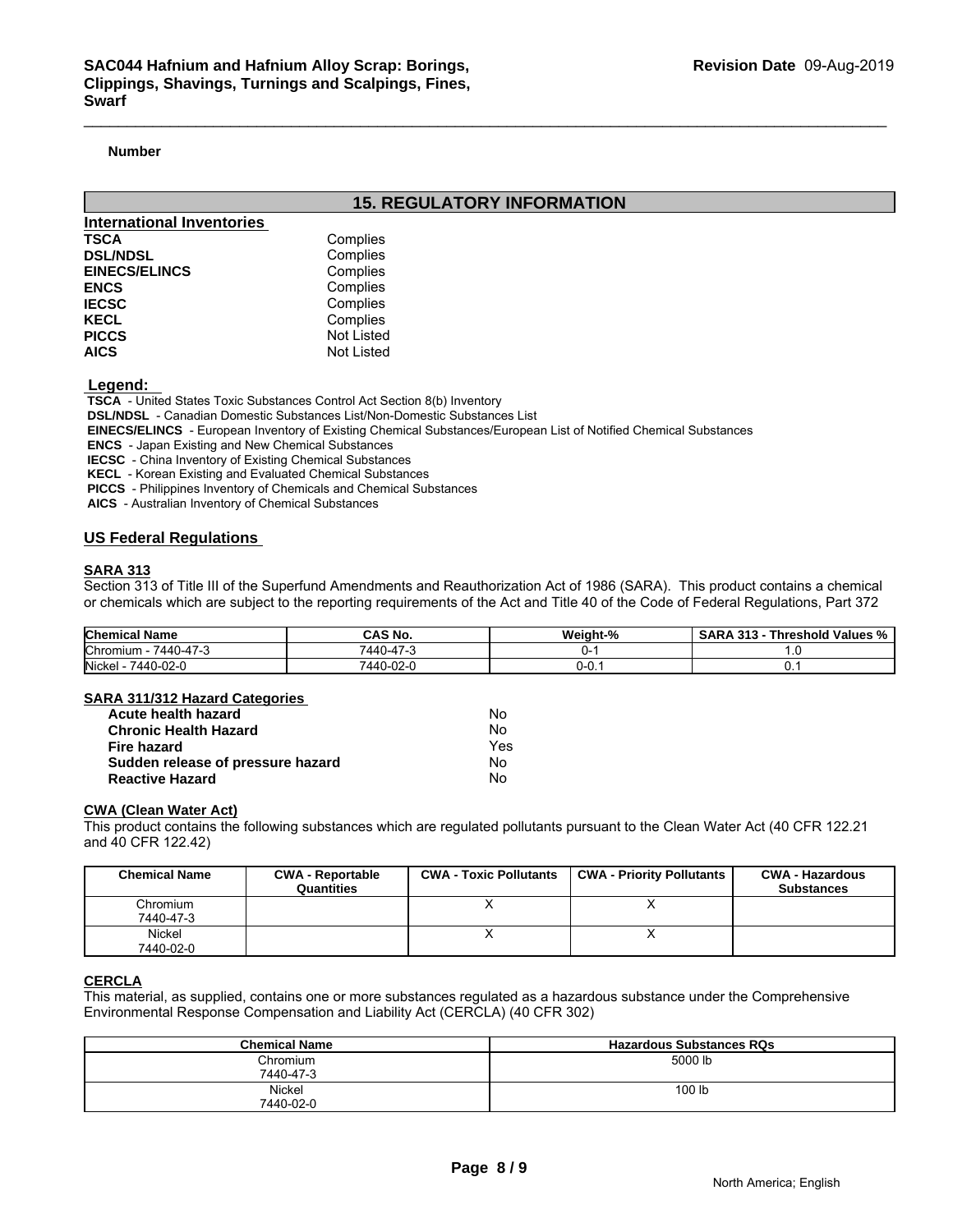### **Number**

### **15. REGULATORY INFORMATION**

| International Inventories |                   |  |
|---------------------------|-------------------|--|
| <b>TSCA</b>               | Complies          |  |
| <b>DSL/NDSL</b>           | Complies          |  |
| <b>EINECS/ELINCS</b>      | Complies          |  |
| <b>ENCS</b>               | Complies          |  |
| <b>IECSC</b>              | Complies          |  |
| <b>KECL</b>               | Complies          |  |
| <b>PICCS</b>              | Not Listed        |  |
| <b>AICS</b>               | <b>Not Listed</b> |  |

 **Legend:** 

 **TSCA** - United States Toxic Substances Control Act Section 8(b) Inventory

 **DSL/NDSL** - Canadian Domestic Substances List/Non-Domestic Substances List

 **EINECS/ELINCS** - European Inventory of Existing Chemical Substances/European List of Notified Chemical Substances

 **ENCS** - Japan Existing and New Chemical Substances

 **IECSC** - China Inventory of Existing Chemical Substances

 **KECL** - Korean Existing and Evaluated Chemical Substances

 **PICCS** - Philippines Inventory of Chemicals and Chemical Substances

 **AICS** - Australian Inventory of Chemical Substances

### **US Federal Regulations**

### **SARA 313**

Section 313 of Title III of the Superfund Amendments and Reauthorization Act of 1986 (SARA). This product contains a chemical or chemicals which are subject to the reporting requirements of the Act and Title 40 of the Code of Federal Regulations, Part 372

| <b>Chemical Name</b>                               | <b>CAS No.</b>                                | Weight- | <br>`hreshold<br>∵Values %<br>$\mathbf{r}$<br> |
|----------------------------------------------------|-----------------------------------------------|---------|------------------------------------------------|
| $\rightarrow$<br><b>Chromium</b><br>$\sim$<br>7440 | $\rightarrow$<br>$\overline{110}$<br>AA<br>-- |         |                                                |
| Nickel<br>7440-02-u                                | 7440-02-0                                     | U-U.    |                                                |

### **SARA 311/312 Hazard Categories**

| Acute health hazard               | No  |  |
|-----------------------------------|-----|--|
| <b>Chronic Health Hazard</b>      | No. |  |
| Fire hazard                       | Yes |  |
| Sudden release of pressure hazard | No. |  |
| <b>Reactive Hazard</b>            | No  |  |

### **CWA (Clean Water Act)**

| Acute health hazard               |                                       | No.                           |                                                                                                                              |                                             |  |
|-----------------------------------|---------------------------------------|-------------------------------|------------------------------------------------------------------------------------------------------------------------------|---------------------------------------------|--|
| <b>Chronic Health Hazard</b>      |                                       | No.                           |                                                                                                                              |                                             |  |
| Fire hazard                       |                                       | Yes                           |                                                                                                                              |                                             |  |
| Sudden release of pressure hazard |                                       | No.                           |                                                                                                                              |                                             |  |
| <b>Reactive Hazard</b>            |                                       | No.                           |                                                                                                                              |                                             |  |
| <b>CWA (Clean Water Act)</b>      |                                       |                               | This product contains the following substances which are regulated pollutants pursuant to the Clean Water Act (40 CFR 122.21 |                                             |  |
| and 40 CFR 122.42)                |                                       |                               |                                                                                                                              |                                             |  |
| <b>Chemical Name</b>              | <b>CWA - Reportable</b><br>Quantities | <b>CWA - Toxic Pollutants</b> | <b>CWA - Priority Pollutants</b>                                                                                             | <b>CWA - Hazardous</b><br><b>Substances</b> |  |
| Chromium                          |                                       | x                             | X                                                                                                                            |                                             |  |
| 7440-47-3                         |                                       |                               |                                                                                                                              |                                             |  |
| Nickel<br>7440-02-0               |                                       | x                             | X                                                                                                                            |                                             |  |

### **CERCLA**

This material, as supplied, contains one or more substances regulated as a hazardous substance under the Comprehensive Environmental Response Compensation and Liability Act (CERCLA) (40 CFR 302)

| <b>Chemical Name</b> | <b>Hazardous Substances RQs</b> |
|----------------------|---------------------------------|
| Chromium             | 5000 lb                         |
| 7440-47-3            |                                 |
| Nickel               | 100 lb                          |
| 7440-02-0            |                                 |